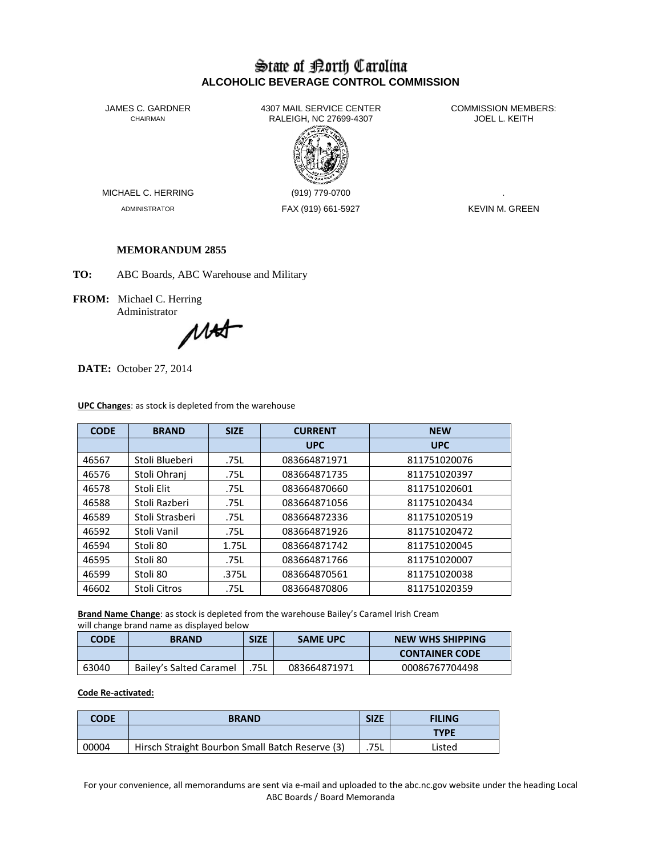## State of Borth Carolina **ALCOHOLIC BEVERAGE CONTROL COMMISSION**

JAMES C. GARDNER 4307 MAIL SERVICE CENTER<br>CHAIRMAN CHAIRMAN RALEIGH, NC 27699-4307 RALEIGH, NC 27699-4307



MICHAEL C. HERRING (919) 779-0700

ADMINISTRATOR FAX (919) 661-5927 KEVIN M. GREEN

## **MEMORANDUM 2855**

**TO:** ABC Boards, ABC Warehouse and Military

**FROM:** Michael C. Herring Administrator

MAS

**DATE:** October 27, 2014

| <b>CODE</b> | <b>BRAND</b>    | <b>SIZE</b> | <b>CURRENT</b> | <b>NEW</b>   |
|-------------|-----------------|-------------|----------------|--------------|
|             |                 |             | <b>UPC</b>     | <b>UPC</b>   |
| 46567       | Stoli Blueberi  | .75L        | 083664871971   | 811751020076 |
| 46576       | Stoli Ohrani    | .75L        | 083664871735   | 811751020397 |
| 46578       | Stoli Elit      | .75L        | 083664870660   | 811751020601 |
| 46588       | Stoli Razberi   | .75L        | 083664871056   | 811751020434 |
| 46589       | Stoli Strasberi | .75L        | 083664872336   | 811751020519 |
| 46592       | Stoli Vanil     | .75L        | 083664871926   | 811751020472 |
| 46594       | Stoli 80        | 1.75L       | 083664871742   | 811751020045 |
| 46595       | Stoli 80        | .75L        | 083664871766   | 811751020007 |
| 46599       | Stoli 80        | .375L       | 083664870561   | 811751020038 |
| 46602       | Stoli Citros    | .75L        | 083664870806   | 811751020359 |

**UPC Changes**: as stock is depleted from the warehouse

**Brand Name Change**: as stock is depleted from the warehouse Bailey's Caramel Irish Cream will change brand name as displayed below

| <b>CODE</b> | <b>BRAND</b>            | <b>SIZE</b> | <b>SAME UPC</b> | <b>NEW WHS SHIPPING</b> |
|-------------|-------------------------|-------------|-----------------|-------------------------|
|             |                         |             |                 | <b>CONTAINER CODE</b>   |
| 63040       | Bailey's Salted Caramel | 75L         | 083664871971    | 00086767704498          |

## **Code Re-activated:**

| <b>CODE</b> | <b>BRAND</b>                                    | <b>SIZE</b> | <b>FILING</b> |
|-------------|-------------------------------------------------|-------------|---------------|
|             |                                                 |             | <b>TYPE</b>   |
| 00004       | Hirsch Straight Bourbon Small Batch Reserve (3) | .75L        | Listed        |

For your convenience, all memorandums are sent via e-mail and uploaded to the abc.nc.gov website under the heading Local ABC Boards / Board Memoranda